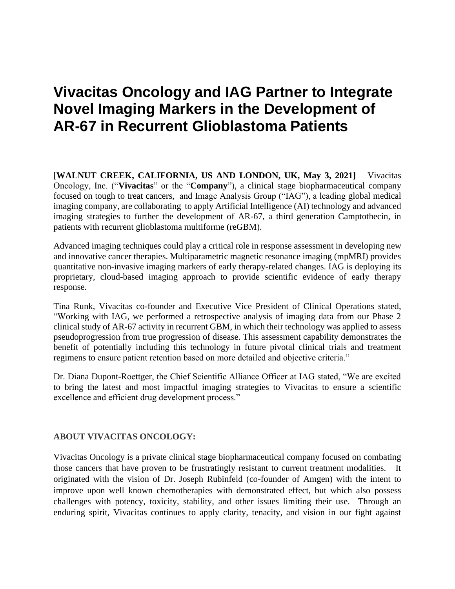## **Vivacitas Oncology and IAG Partner to Integrate Novel Imaging Markers in the Development of AR-67 in Recurrent Glioblastoma Patients**

[**WALNUT CREEK, CALIFORNIA, US AND LONDON, UK, May 3, 2021]** – Vivacitas Oncology, Inc. ("**Vivacitas**" or the "**Company**"), a clinical stage biopharmaceutical company focused on tough to treat cancers, and Image Analysis Group ("IAG"), a leading global medical imaging company, are collaborating to apply Artificial Intelligence (AI) technology and advanced imaging strategies to further the development of AR-67, a third generation Camptothecin, in patients with recurrent glioblastoma multiforme (reGBM).

Advanced imaging techniques could play a critical role in response assessment in developing new and innovative cancer therapies. Multiparametric magnetic resonance imaging (mpMRI) provides quantitative non-invasive imaging markers of early therapy-related changes. IAG is deploying its proprietary, cloud-based imaging approach to provide scientific evidence of early therapy response.

Tina Runk, Vivacitas co-founder and Executive Vice President of Clinical Operations stated, "Working with IAG, we performed a retrospective analysis of imaging data from our Phase 2 clinical study of AR-67 activity in recurrent GBM, in which their technology was applied to assess pseudoprogression from true progression of disease. This assessment capability demonstrates the benefit of potentially including this technology in future pivotal clinical trials and treatment regimens to ensure patient retention based on more detailed and objective criteria."

Dr. Diana Dupont-Roettger, the Chief Scientific Alliance Officer at IAG stated, "We are excited to bring the latest and most impactful imaging strategies to Vivacitas to ensure a scientific excellence and efficient drug development process."

## **ABOUT VIVACITAS ONCOLOGY:**

Vivacitas Oncology is a private clinical stage biopharmaceutical company focused on combating those cancers that have proven to be frustratingly resistant to current treatment modalities. It originated with the vision of Dr. Joseph Rubinfeld (co-founder of Amgen) with the intent to improve upon well known chemotherapies with demonstrated effect, but which also possess challenges with potency, toxicity, stability, and other issues limiting their use. Through an enduring spirit, Vivacitas continues to apply clarity, tenacity, and vision in our fight against